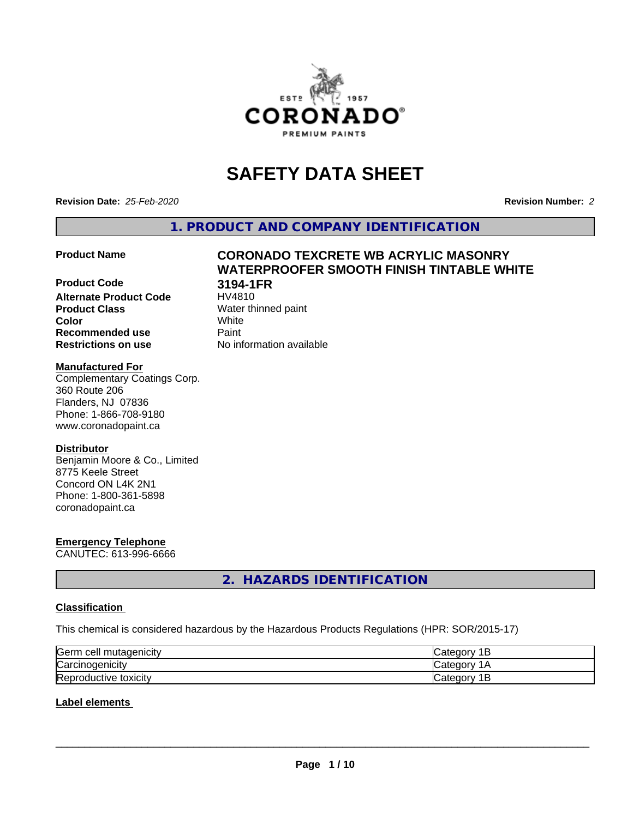

# **SAFETY DATA SHEET**

**Revision Date:** *25-Feb-2020* **Revision Number:** *2*

**1. PRODUCT AND COMPANY IDENTIFICATION**

**WATERPROOFER SMOOTH FINISH TINTABLE WHITE**

#### **Product Name CORONADO TEXCRETE WB ACRYLIC MASONRY**

### **Product Code 3194-1FR Alternate Product Code Product Class** Water thinned paint<br> **Color** White **Color** White

# **Recommended use Caint Restrictions on use** No information available

**Manufactured For** Complementary Coatings Corp. 360 Route 206 Flanders, NJ 07836 Phone: 1-866-708-9180 www.coronadopaint.ca

### **Distributor**

Benjamin Moore & Co., Limited 8775 Keele Street Concord ON L4K 2N1 Phone: 1-800-361-5898 coronadopaint.ca

# **Emergency Telephone**

CANUTEC: 613-996-6666

# **2. HAZARDS IDENTIFICATION**

### **Classification**

This chemical is considered hazardous by the Hazardous Products Regulations (HPR: SOR/2015-17)

| Germ<br>mutagenicity<br>n cell- | "ategor<br>-        |
|---------------------------------|---------------------|
| Carcinogenicity                 | "ategor<br>.        |
| Reproductive t<br>toxicity      | D<br>ategor.ب<br>ــ |

# **Label elements**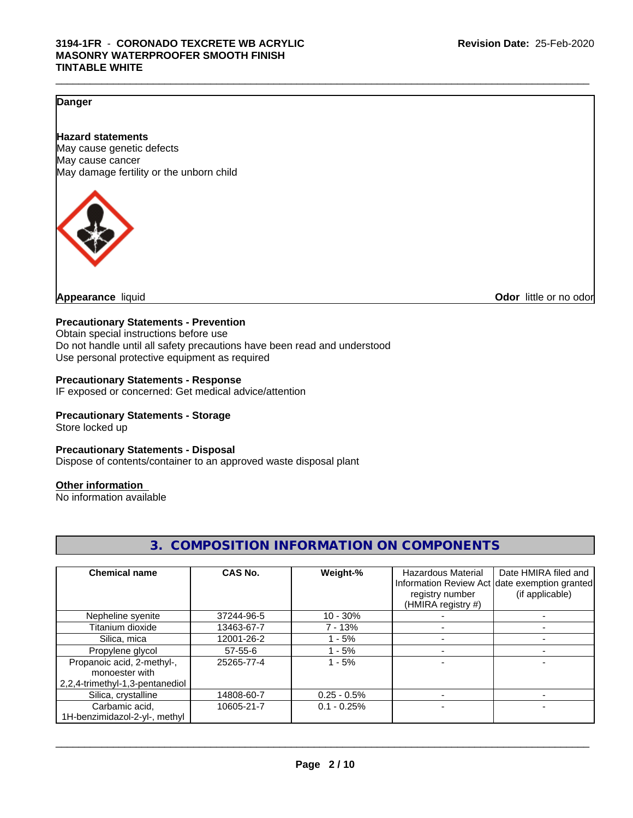#### **Danger**

#### **Hazard statements**

May cause genetic defects May cause cancer May damage fertility or the unborn child



**Appearance** liquid **Odor in the original of the original of the original of the original of the original of the original of the original of the original of the original of the original of the original of the original of t** 

#### **Precautionary Statements - Prevention**

Obtain special instructions before use Do not handle until all safety precautions have been read and understood Use personal protective equipment as required

#### **Precautionary Statements - Response**

IF exposed or concerned: Get medical advice/attention

#### **Precautionary Statements - Storage**

Store locked up

#### **Precautionary Statements - Disposal**

Dispose of contents/container to an approved waste disposal plant

#### **Other information**

No information available

| <b>Chemical name</b>            | CAS No.    | Weight-%      | Hazardous Material | Date HMIRA filed and                          |
|---------------------------------|------------|---------------|--------------------|-----------------------------------------------|
|                                 |            |               |                    | Information Review Act date exemption granted |
|                                 |            |               | registry number    | (if applicable)                               |
|                                 |            |               | (HMIRA registry #) |                                               |
| Nepheline syenite               | 37244-96-5 | $10 - 30%$    |                    |                                               |
| Titanium dioxide                | 13463-67-7 | 7 - 13%       |                    |                                               |
| Silica, mica                    | 12001-26-2 | 1 - 5%        |                    |                                               |
| Propylene glycol                | 57-55-6    | - 5%          |                    |                                               |
| Propanoic acid, 2-methyl-,      | 25265-77-4 | $1 - 5%$      |                    |                                               |
| monoester with                  |            |               |                    |                                               |
| 2,2,4-trimethyl-1,3-pentanediol |            |               |                    |                                               |
| Silica, crystalline             | 14808-60-7 | $0.25 - 0.5%$ |                    |                                               |
| Carbamic acid,                  | 10605-21-7 | $0.1 - 0.25%$ |                    |                                               |
| 1H-benzimidazol-2-yl-, methyl   |            |               |                    |                                               |

# **3. COMPOSITION INFORMATION ON COMPONENTS**

 $\_$  ,  $\_$  ,  $\_$  ,  $\_$  ,  $\_$  ,  $\_$  ,  $\_$  ,  $\_$  ,  $\_$  ,  $\_$  ,  $\_$  ,  $\_$  ,  $\_$  ,  $\_$  ,  $\_$  ,  $\_$  ,  $\_$  ,  $\_$  ,  $\_$  ,  $\_$  ,  $\_$  ,  $\_$  ,  $\_$  ,  $\_$  ,  $\_$  ,  $\_$  ,  $\_$  ,  $\_$  ,  $\_$  ,  $\_$  ,  $\_$  ,  $\_$  ,  $\_$  ,  $\_$  ,  $\_$  ,  $\_$  ,  $\_$  ,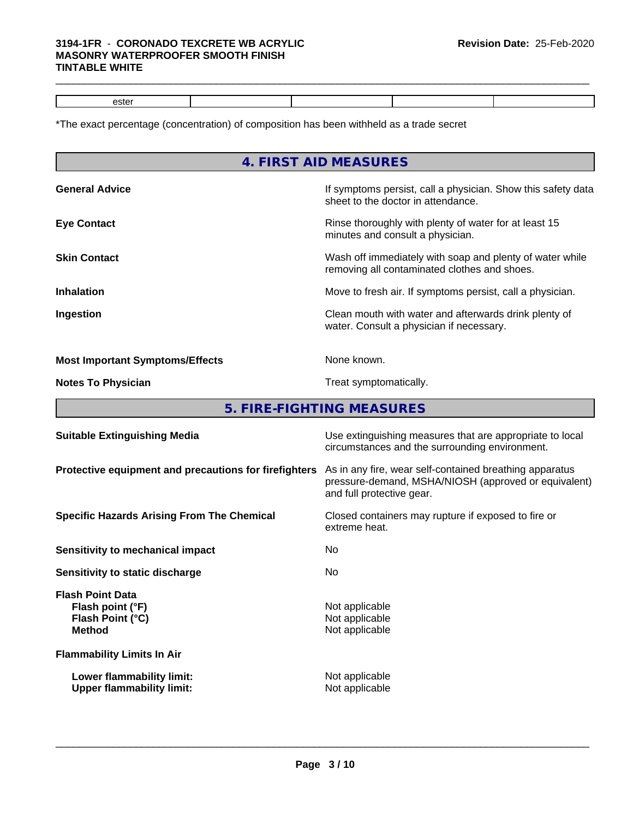#### **3194-1FR** - **CORONADO TEXCRETE WB ACRYLIC MASONRY WATERPROOFER SMOOTH FINISH TINTABLE WHITE**

| lefter<br>ENR. |  |  |  |
|----------------|--|--|--|
|                |  |  |  |

 $\_$  ,  $\_$  ,  $\_$  ,  $\_$  ,  $\_$  ,  $\_$  ,  $\_$  ,  $\_$  ,  $\_$  ,  $\_$  ,  $\_$  ,  $\_$  ,  $\_$  ,  $\_$  ,  $\_$  ,  $\_$  ,  $\_$  ,  $\_$  ,  $\_$  ,  $\_$  ,  $\_$  ,  $\_$  ,  $\_$  ,  $\_$  ,  $\_$  ,  $\_$  ,  $\_$  ,  $\_$  ,  $\_$  ,  $\_$  ,  $\_$  ,  $\_$  ,  $\_$  ,  $\_$  ,  $\_$  ,  $\_$  ,  $\_$  ,

\*The exact percentage (concentration) of composition has been withheld as a trade secret

|                                        | 4. FIRST AID MEASURES                                                                                      |
|----------------------------------------|------------------------------------------------------------------------------------------------------------|
| <b>General Advice</b>                  | If symptoms persist, call a physician. Show this safety data<br>sheet to the doctor in attendance.         |
| <b>Eye Contact</b>                     | Rinse thoroughly with plenty of water for at least 15<br>minutes and consult a physician.                  |
| <b>Skin Contact</b>                    | Wash off immediately with soap and plenty of water while<br>removing all contaminated clothes and shoes.   |
| <b>Inhalation</b>                      | Move to fresh air. If symptoms persist, call a physician.                                                  |
| Ingestion                              | Clean mouth with water and afterwards drink plenty of<br>water. Consult a physician if necessary.          |
| <b>Most Important Symptoms/Effects</b> | None known.                                                                                                |
| <b>Notes To Physician</b>              | Treat symptomatically.                                                                                     |
|                                        | 5. FIRE-FIGHTING MEASURES                                                                                  |
| <b>Suitable Extinguishing Media</b>    | Use extinguishing measures that are appropriate to local<br>circumstances and the surrounding environment. |

|                                                                                  | ch curistances and the surrounding environment.                                                                                              |
|----------------------------------------------------------------------------------|----------------------------------------------------------------------------------------------------------------------------------------------|
| Protective equipment and precautions for firefighters                            | As in any fire, wear self-contained breathing apparatus<br>pressure-demand, MSHA/NIOSH (approved or equivalent)<br>and full protective gear. |
| <b>Specific Hazards Arising From The Chemical</b>                                | Closed containers may rupture if exposed to fire or<br>extreme heat.                                                                         |
| Sensitivity to mechanical impact                                                 | No.                                                                                                                                          |
| Sensitivity to static discharge                                                  | No.                                                                                                                                          |
| <b>Flash Point Data</b><br>Flash point (°F)<br>Flash Point (°C)<br><b>Method</b> | Not applicable<br>Not applicable<br>Not applicable                                                                                           |
| <b>Flammability Limits In Air</b>                                                |                                                                                                                                              |
| Lower flammability limit:<br><b>Upper flammability limit:</b>                    | Not applicable<br>Not applicable                                                                                                             |
|                                                                                  |                                                                                                                                              |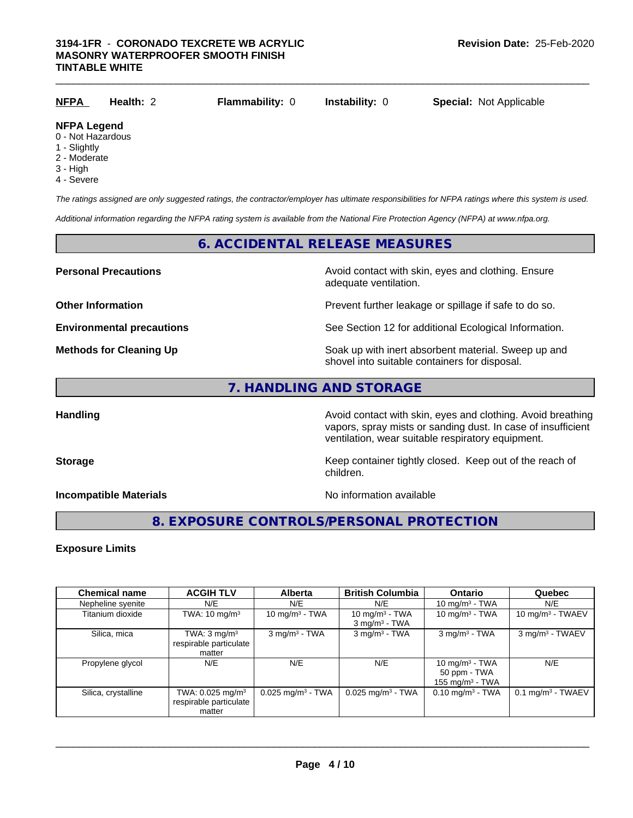| <b>NFPA</b>                             | Health: 2 | <b>Flammability: 0</b> | <b>Instability: 0</b> | <b>Special: Not Applicable</b> |  |
|-----------------------------------------|-----------|------------------------|-----------------------|--------------------------------|--|
| <b>NFPA Legend</b><br>0 - Not Hazardous |           |                        |                       |                                |  |

#### 0 - Not Hazardous

- 1 Slightly
- 2 Moderate
- 3 High
- 4 Severe

*The ratings assigned are only suggested ratings, the contractor/employer has ultimate responsibilities for NFPA ratings where this system is used.*

*Additional information regarding the NFPA rating system is available from the National Fire Protection Agency (NFPA) at www.nfpa.org.*

### **6. ACCIDENTAL RELEASE MEASURES**

**Personal Precautions Avoid contact with skin, eyes and clothing. Ensure** Avoid contact with skin, eyes and clothing. Ensure adequate ventilation.

**Other Information Discription Prevent further leakage or spillage if safe to do so.** 

**Environmental precautions** See Section 12 for additional Ecological Information.

**Methods for Cleaning Up Example 20 All 20 All 20 All 20 Soak** up with inert absorbent material. Sweep up and shovel into suitable containers for disposal.

# **7. HANDLING AND STORAGE**

**Handling Handling Avoid contact with skin, eyes and clothing. Avoid breathing** vapors, spray mists or sanding dust. In case of insufficient ventilation, wear suitable respiratory equipment.

**Storage Keep container tightly closed. Keep out of the reach of Keep** container tightly closed. Keep out of the reach of children.

**Incompatible Materials Incompatible Materials No information available** 

 $\overline{\phantom{a}}$  ,  $\overline{\phantom{a}}$  ,  $\overline{\phantom{a}}$  ,  $\overline{\phantom{a}}$  ,  $\overline{\phantom{a}}$  ,  $\overline{\phantom{a}}$  ,  $\overline{\phantom{a}}$  ,  $\overline{\phantom{a}}$  ,  $\overline{\phantom{a}}$  ,  $\overline{\phantom{a}}$  ,  $\overline{\phantom{a}}$  ,  $\overline{\phantom{a}}$  ,  $\overline{\phantom{a}}$  ,  $\overline{\phantom{a}}$  ,  $\overline{\phantom{a}}$  ,  $\overline{\phantom{a}}$ 

# **8. EXPOSURE CONTROLS/PERSONAL PROTECTION**

#### **Exposure Limits**

| <b>Chemical name</b> | <b>ACGIH TLV</b>                                                 | <b>Alberta</b>                  | <b>British Columbia</b>                          | <b>Ontario</b>                                          | Quebec                          |
|----------------------|------------------------------------------------------------------|---------------------------------|--------------------------------------------------|---------------------------------------------------------|---------------------------------|
| Nepheline syenite    | N/E                                                              | N/E                             | N/E                                              | 10 mg/m $3$ - TWA                                       | N/E                             |
| Titanium dioxide     | TWA: $10 \text{ mg/m}^3$                                         | 10 mg/m $3$ - TWA               | 10 mg/m $3$ - TWA<br>$3$ mg/m <sup>3</sup> - TWA | 10 mg/m $3$ - TWA                                       | 10 mg/m $3$ - TWAEV             |
| Silica, mica         | TWA: $3 \text{ mg/m}^3$<br>respirable particulate<br>matter      | $3$ mg/m <sup>3</sup> - TWA     | $3$ mg/m <sup>3</sup> - TWA                      | $3$ mg/m <sup>3</sup> - TWA                             | 3 mg/m <sup>3</sup> - TWAEV     |
| Propylene glycol     | N/E                                                              | N/E                             | N/E                                              | 10 mg/m $3$ - TWA<br>50 ppm - TWA<br>155 mg/m $3$ - TWA | N/E                             |
| Silica, crystalline  | TWA: 0.025 mg/m <sup>3</sup><br>respirable particulate<br>matter | $0.025$ mg/m <sup>3</sup> - TWA | $0.025$ mg/m <sup>3</sup> - TWA                  | $0.10$ mg/m <sup>3</sup> - TWA                          | $0.1$ mg/m <sup>3</sup> - TWAEV |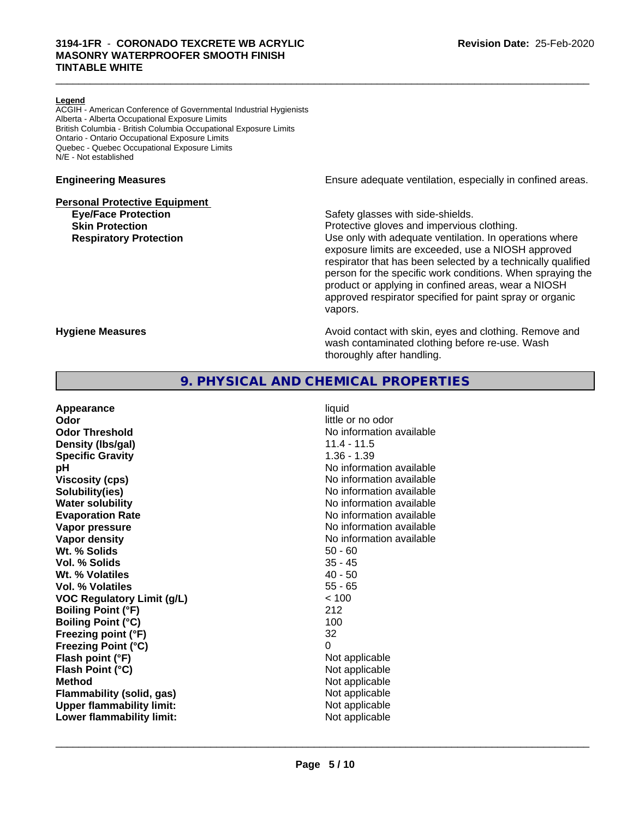#### **Legend**

ACGIH - American Conference of Governmental Industrial Hygienists Alberta - Alberta Occupational Exposure Limits British Columbia - British Columbia Occupational Exposure Limits Ontario - Ontario Occupational Exposure Limits Quebec - Quebec Occupational Exposure Limits N/E - Not established

#### **Personal Protective Equipment**

**Engineering Measures Ensure** Ensure adequate ventilation, especially in confined areas.

**Eye/Face Protection Safety glasses with side-shields.** 

 $\_$  ,  $\_$  ,  $\_$  ,  $\_$  ,  $\_$  ,  $\_$  ,  $\_$  ,  $\_$  ,  $\_$  ,  $\_$  ,  $\_$  ,  $\_$  ,  $\_$  ,  $\_$  ,  $\_$  ,  $\_$  ,  $\_$  ,  $\_$  ,  $\_$  ,  $\_$  ,  $\_$  ,  $\_$  ,  $\_$  ,  $\_$  ,  $\_$  ,  $\_$  ,  $\_$  ,  $\_$  ,  $\_$  ,  $\_$  ,  $\_$  ,  $\_$  ,  $\_$  ,  $\_$  ,  $\_$  ,  $\_$  ,  $\_$  ,

**Skin Protection Protection Protective gloves and impervious clothing. Respiratory Protection Exercise 2018** Use only with adequate ventilation. In operations where exposure limits are exceeded, use a NIOSH approved respirator that has been selected by a technically qualified person for the specific work conditions. When spraying the product or applying in confined areas, wear a NIOSH approved respirator specified for paint spray or organic vapors.

**Hygiene Measures Avoid contact with skin, eyes and clothing. Remove and Hygiene Measures** and clothing. Remove and wash contaminated clothing before re-use. Wash thoroughly after handling.

## **9. PHYSICAL AND CHEMICAL PROPERTIES**

| Appearance                        | liquid                   |
|-----------------------------------|--------------------------|
| Odor                              | little or no odor        |
| <b>Odor Threshold</b>             | No information available |
| Density (Ibs/gal)                 | $11.4 - 11.5$            |
| <b>Specific Gravity</b>           | $1.36 - 1.39$            |
| рH                                | No information available |
| <b>Viscosity (cps)</b>            | No information available |
| Solubility(ies)                   | No information available |
| <b>Water solubility</b>           | No information available |
| <b>Evaporation Rate</b>           | No information available |
| Vapor pressure                    | No information available |
| Vapor density                     | No information available |
| Wt. % Solids                      | $50 - 60$                |
| Vol. % Solids                     | $35 - 45$                |
| Wt. % Volatiles                   | $40 - 50$                |
| Vol. % Volatiles                  | $55 - 65$                |
| <b>VOC Regulatory Limit (g/L)</b> | < 100                    |
| <b>Boiling Point (°F)</b>         | 212                      |
| <b>Boiling Point (°C)</b>         | 100                      |
| Freezing point (°F)               | 32                       |
| <b>Freezing Point (°C)</b>        | 0                        |
| Flash point (°F)                  | Not applicable           |
| Flash Point (°C)                  | Not applicable           |
| <b>Method</b>                     | Not applicable           |
| Flammability (solid, gas)         | Not applicable           |
| <b>Upper flammability limit:</b>  | Not applicable           |
| Lower flammability limit:         | Not applicable           |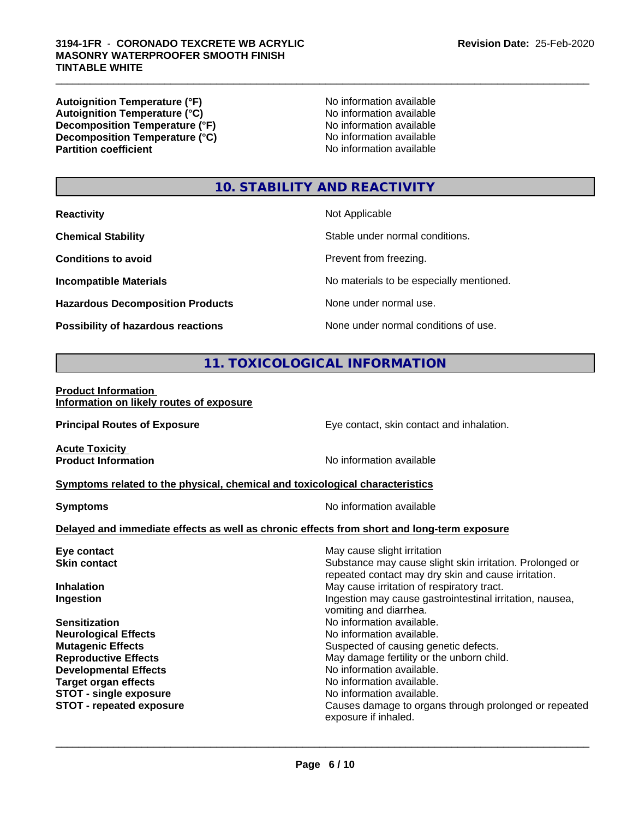#### $\_$  ,  $\_$  ,  $\_$  ,  $\_$  ,  $\_$  ,  $\_$  ,  $\_$  ,  $\_$  ,  $\_$  ,  $\_$  ,  $\_$  ,  $\_$  ,  $\_$  ,  $\_$  ,  $\_$  ,  $\_$  ,  $\_$  ,  $\_$  ,  $\_$  ,  $\_$  ,  $\_$  ,  $\_$  ,  $\_$  ,  $\_$  ,  $\_$  ,  $\_$  ,  $\_$  ,  $\_$  ,  $\_$  ,  $\_$  ,  $\_$  ,  $\_$  ,  $\_$  ,  $\_$  ,  $\_$  ,  $\_$  ,  $\_$  , **3194-1FR** - **CORONADO TEXCRETE WB ACRYLIC MASONRY WATERPROOFER SMOOTH FINISH TINTABLE WHITE**

**Autoignition Temperature (°F)**<br> **Autoignition Temperature (°C)** No information available **Autoignition Temperature (°C) Decomposition Temperature (°F)** No information available **Decomposition Temperature (°C)** No information available<br> **Partition coefficient Partition available** 

**No information available** 

# **10. STABILITY AND REACTIVITY**

| <b>Reactivity</b>                         | Not Applicable                           |
|-------------------------------------------|------------------------------------------|
| <b>Chemical Stability</b>                 | Stable under normal conditions.          |
| <b>Conditions to avoid</b>                | Prevent from freezing.                   |
| <b>Incompatible Materials</b>             | No materials to be especially mentioned. |
| <b>Hazardous Decomposition Products</b>   | None under normal use.                   |
| <b>Possibility of hazardous reactions</b> | None under normal conditions of use.     |

# **11. TOXICOLOGICAL INFORMATION**

#### **Product Information Information on likely routes of exposure**

**Principal Routes of Exposure Exposure** Eye contact, skin contact and inhalation. **Acute Toxicity**<br>**Product Information No information available Symptoms related to the physical,chemical and toxicological characteristics Symptoms** No information available **Delayed and immediate effects as well as chronic effects from short and long-term exposure Eye contact Exercise Solution** May cause slight irritation **Skin contact** Substance may cause slight skin irritation. Prolonged or repeated contact may dry skin and cause irritation. **Inhalation** May cause irritation of respiratory tract. **Ingestion Ingestion Index is a linear in the line of the line of the line of the line of the line of the line of the line of the line of the line of the line of the line of the line of the line of the line of the line** vomiting and diarrhea. **Sensitization No information available.** No information available. **Neurological Effects** Noinformation available. **Mutagenic Effects** Suspected of causing genetic defects. **Reproductive Effects** May damage fertility or the unborn child. **Developmental Effects**<br> **Target organ effects**<br> **Target organ effects**<br> **No information available.** No information available. **STOT** - single exposure **No information available. STOT - repeated exposure** Causes damage to organs through prolonged or repeated exposure if inhaled.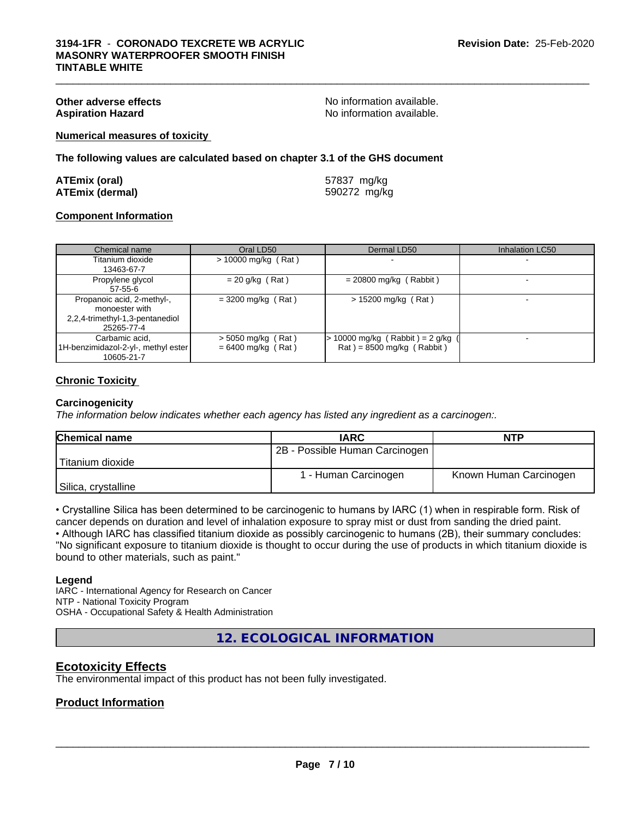**Other adverse effects**<br> **Aspiration Hazard**<br> **Aspiration Hazard**<br> **Aspiration Hazard**<br> **Aspiration Available.** No information available.

 $\_$  ,  $\_$  ,  $\_$  ,  $\_$  ,  $\_$  ,  $\_$  ,  $\_$  ,  $\_$  ,  $\_$  ,  $\_$  ,  $\_$  ,  $\_$  ,  $\_$  ,  $\_$  ,  $\_$  ,  $\_$  ,  $\_$  ,  $\_$  ,  $\_$  ,  $\_$  ,  $\_$  ,  $\_$  ,  $\_$  ,  $\_$  ,  $\_$  ,  $\_$  ,  $\_$  ,  $\_$  ,  $\_$  ,  $\_$  ,  $\_$  ,  $\_$  ,  $\_$  ,  $\_$  ,  $\_$  ,  $\_$  ,  $\_$  ,

**Numerical measures of toxicity**

**The following values are calculated based on chapter 3.1 of the GHS document**

| <b>ATEmix (oral)</b>   | 57837 mg/kg  |
|------------------------|--------------|
| <b>ATEmix (dermal)</b> | 590272 mg/kg |

#### **Component Information**

| Chemical name                                                                                 | Oral LD50                                    | Dermal LD50                                                      | <b>Inhalation LC50</b> |
|-----------------------------------------------------------------------------------------------|----------------------------------------------|------------------------------------------------------------------|------------------------|
| Titanium dioxide<br>13463-67-7                                                                | $> 10000$ mg/kg (Rat)                        |                                                                  |                        |
| Propylene glycol<br>$57 - 55 - 6$                                                             | $= 20$ g/kg (Rat)                            | $= 20800$ mg/kg (Rabbit)                                         |                        |
| Propanoic acid, 2-methyl-,<br>monoester with<br>2,2,4-trimethyl-1,3-pentanediol<br>25265-77-4 | $= 3200$ mg/kg (Rat)                         | $> 15200$ mg/kg (Rat)                                            |                        |
| Carbamic acid,<br>1H-benzimidazol-2-yl-, methyl ester<br>10605-21-7                           | $>$ 5050 mg/kg (Rat)<br>$= 6400$ mg/kg (Rat) | 10000 mg/kg (Rabbit) = $2$ g/kg (<br>$Rat$ = 8500 mg/kg (Rabbit) |                        |

### **Chronic Toxicity**

#### **Carcinogenicity**

*The information below indicateswhether each agency has listed any ingredient as a carcinogen:.*

| <b>Chemical name</b> | <b>IARC</b>                    | <b>NTP</b>             |
|----------------------|--------------------------------|------------------------|
|                      | 2B - Possible Human Carcinogen |                        |
| Titanium dioxide     |                                |                        |
|                      | 1 - Human Carcinogen           | Known Human Carcinogen |
| Silica, crystalline  |                                |                        |

• Crystalline Silica has been determined to be carcinogenic to humans by IARC (1) when in respirable form. Risk of cancer depends on duration and level of inhalation exposure to spray mist or dust from sanding the dried paint.

• Although IARC has classified titanium dioxide as possibly carcinogenic to humans (2B), their summary concludes: "No significant exposure to titanium dioxide is thought to occur during the use of products in which titanium dioxide is bound to other materials, such as paint."

#### **Legend**

IARC - International Agency for Research on Cancer NTP - National Toxicity Program OSHA - Occupational Safety & Health Administration

**12. ECOLOGICAL INFORMATION**

### **Ecotoxicity Effects**

The environmental impact of this product has not been fully investigated.

#### **Product Information**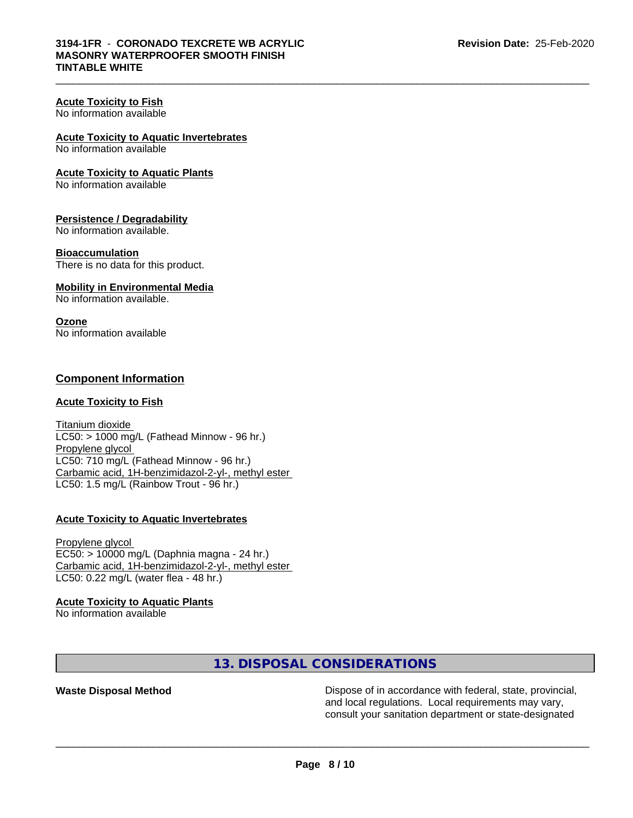$\_$  ,  $\_$  ,  $\_$  ,  $\_$  ,  $\_$  ,  $\_$  ,  $\_$  ,  $\_$  ,  $\_$  ,  $\_$  ,  $\_$  ,  $\_$  ,  $\_$  ,  $\_$  ,  $\_$  ,  $\_$  ,  $\_$  ,  $\_$  ,  $\_$  ,  $\_$  ,  $\_$  ,  $\_$  ,  $\_$  ,  $\_$  ,  $\_$  ,  $\_$  ,  $\_$  ,  $\_$  ,  $\_$  ,  $\_$  ,  $\_$  ,  $\_$  ,  $\_$  ,  $\_$  ,  $\_$  ,  $\_$  ,  $\_$  ,

## **Acute Toxicity to Fish**

No information available

#### **Acute Toxicity to Aquatic Invertebrates**

No information available

#### **Acute Toxicity to Aquatic Plants**

No information available

### **Persistence / Degradability**

No information available.

#### **Bioaccumulation**

There is no data for this product.

#### **Mobility in Environmental Media**

No information available.

#### **Ozone**

No information available

## **Component Information**

#### **Acute Toxicity to Fish**

Titanium dioxide  $LC50:$  > 1000 mg/L (Fathead Minnow - 96 hr.) Propylene glycol LC50: 710 mg/L (Fathead Minnow - 96 hr.) Carbamic acid, 1H-benzimidazol-2-yl-, methyl ester LC50: 1.5 mg/L (Rainbow Trout - 96 hr.)

### **Acute Toxicity to Aquatic Invertebrates**

Propylene glycol EC50: > 10000 mg/L (Daphnia magna - 24 hr.) Carbamic acid, 1H-benzimidazol-2-yl-, methyl ester LC50: 0.22 mg/L (water flea - 48 hr.)

#### **Acute Toxicity to Aquatic Plants**

No information available

# **13. DISPOSAL CONSIDERATIONS**

**Waste Disposal Method Dispose of in accordance with federal, state, provincial,** and local regulations. Local requirements may vary, consult your sanitation department or state-designated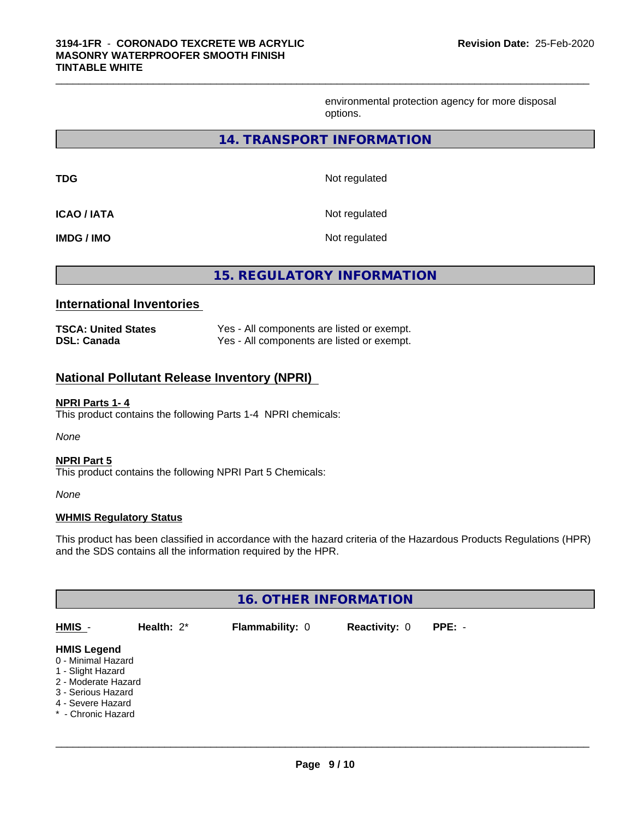environmental protection agency for more disposal options.

#### **14. TRANSPORT INFORMATION**

 $\_$  ,  $\_$  ,  $\_$  ,  $\_$  ,  $\_$  ,  $\_$  ,  $\_$  ,  $\_$  ,  $\_$  ,  $\_$  ,  $\_$  ,  $\_$  ,  $\_$  ,  $\_$  ,  $\_$  ,  $\_$  ,  $\_$  ,  $\_$  ,  $\_$  ,  $\_$  ,  $\_$  ,  $\_$  ,  $\_$  ,  $\_$  ,  $\_$  ,  $\_$  ,  $\_$  ,  $\_$  ,  $\_$  ,  $\_$  ,  $\_$  ,  $\_$  ,  $\_$  ,  $\_$  ,  $\_$  ,  $\_$  ,  $\_$  ,

| <b>TDG</b>        | Not regulated |
|-------------------|---------------|
| <b>ICAO/IATA</b>  | Not regulated |
| <b>IMDG / IMO</b> | Not regulated |

**15. REGULATORY INFORMATION**

### **International Inventories**

| <b>TSCA: United States</b> | Yes - All components are listed or exempt. |
|----------------------------|--------------------------------------------|
| <b>DSL: Canada</b>         | Yes - All components are listed or exempt. |

# **National Pollutant Release Inventory (NPRI)**

#### **NPRI Parts 1- 4**

This product contains the following Parts 1-4 NPRI chemicals:

*None*

#### **NPRI Part 5**

This product contains the following NPRI Part 5 Chemicals:

*None*

#### **WHMIS Regulatory Status**

This product has been classified in accordance with the hazard criteria of the Hazardous Products Regulations (HPR) and the SDS contains all the information required by the HPR.

| <b>16. OTHER INFORMATION</b>                                                                                                                          |               |                        |                      |          |  |
|-------------------------------------------------------------------------------------------------------------------------------------------------------|---------------|------------------------|----------------------|----------|--|
| HMIS -                                                                                                                                                | Health: $2^*$ | <b>Flammability: 0</b> | <b>Reactivity: 0</b> | $PPE: -$ |  |
| <b>HMIS Legend</b><br>0 - Minimal Hazard<br>1 - Slight Hazard<br>2 - Moderate Hazard<br>3 - Serious Hazard<br>4 - Severe Hazard<br>* - Chronic Hazard |               |                        |                      |          |  |